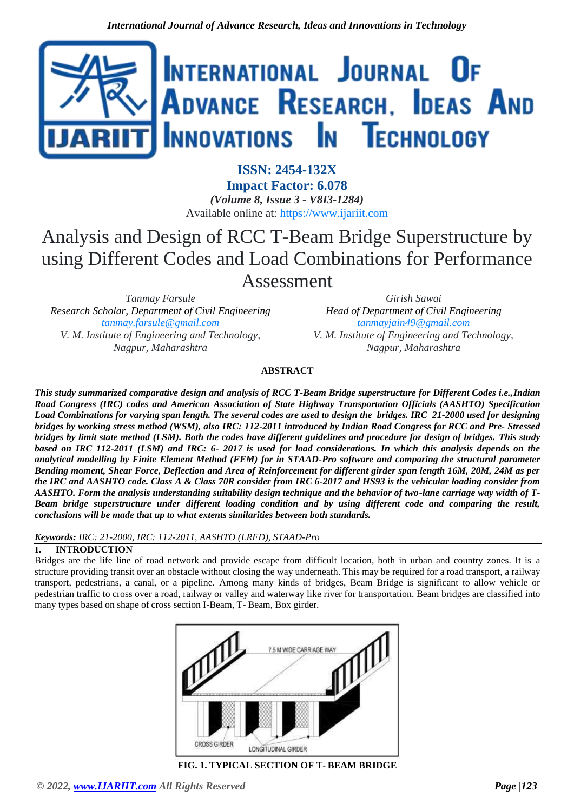

**ISSN: 2454-132X Impact Factor: 6.078** *(Volume 8, Issue 3 - V8I3-1284)* Available online at: [https://www.ijariit.com](https://www.ijariit.com/?utm_source=pdf&utm_medium=edition&utm_campaign=OmAkSols&utm_term=V8I3-1284)

# Analysis and Design of RCC T-Beam Bridge Superstructure by using Different Codes and Load Combinations for Performance

Assessment

*Tanmay Farsule Research Scholar, Department of Civil Engineering [tanmay.farsule@gmail.com](mailto:tanmay.farsule@gmail.com) V. M. Institute of Engineering and Technology, Nagpur, Maharashtra*

*Girish Sawai Head of Department of Civil Engineering [tanmayjain49@gmail.com](mailto:tanmayjain49@gmail.com) V. M. Institute of Engineering and Technology, Nagpur, Maharashtra*

# **ABSTRACT**

*This study summarized comparative design and analysis of RCC T-Beam Bridge superstructure for Different Codes i.e.,Indian Road Congress (IRC) codes and American Association of State Highway Transportation Officials (AASHTO) Specification Load Combinations for varying span length. The several codes are used to design the bridges. IRC 21-2000 used for designing bridges by working stress method (WSM), also IRC: 112-2011 introduced by Indian Road Congress for RCC and Pre- Stressed bridges by limit state method (LSM). Both the codes have different guidelines and procedure for design of bridges. This study based on IRC 112-2011 (LSM) and IRC: 6- 2017 is used for load considerations. In which this analysis depends on the analytical modelling by Finite Element Method (FEM) for in STAAD-Pro software and comparing the structural parameter Bending moment, Shear Force, Deflection and Area of Reinforcement for different girder span length 16M, 20M, 24M as per the IRC and AASHTO code. Class A & Class 70R consider from IRC 6-2017 and HS93 is the vehicular loading consider from AASHTO. Form the analysis understanding suitability design technique and the behavior of two-lane carriage way width of T-Beam bridge superstructure under different loading condition and by using different code and comparing the result, conclusions will be made that up to what extents similarities between both standards.*

*Keywords: IRC: 21-2000, IRC: 112-2011, AASHTO (LRFD), STAAD-Pro*

# **1. INTRODUCTION**

Bridges are the life line of road network and provide escape from difficult location, both in urban and country zones. It is a structure providing transit over an obstacle without closing the way underneath. This may be required for a road transport, a railway transport, pedestrians, a canal, or a pipeline. Among many kinds of bridges, Beam Bridge is significant to allow vehicle or pedestrian traffic to cross over a road, railway or valley and waterway like river for transportation. Beam bridges are classified into many types based on shape of cross section I-Beam, T- Beam, Box girder.



**FIG. 1. TYPICAL SECTION OF T- BEAM BRIDGE**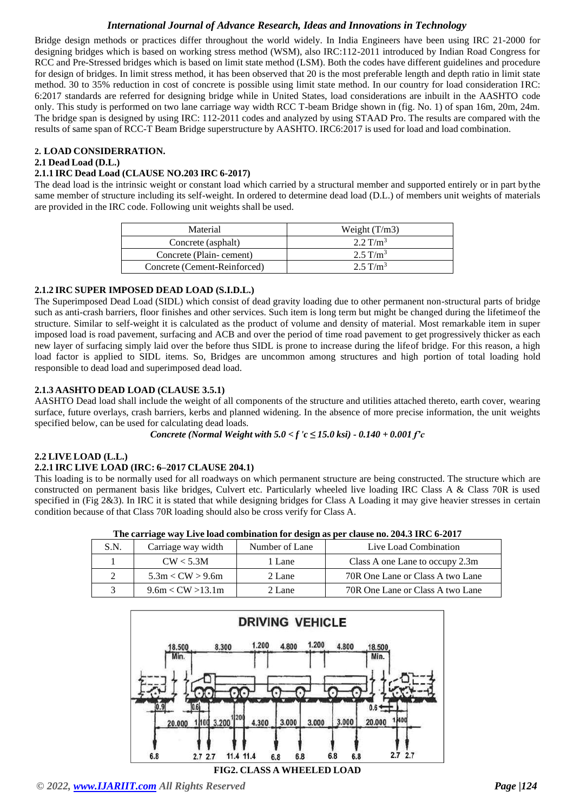Bridge design methods or practices differ throughout the world widely. In India Engineers have been using IRC 21-2000 for designing bridges which is based on working stress method (WSM), also IRC:112-2011 introduced by Indian Road Congress for RCC and Pre-Stressed bridges which is based on limit state method (LSM). Both the codes have different guidelines and procedure for design of bridges. In limit stress method, it has been observed that 20 is the most preferable length and depth ratio in limit state method. 30 to 35% reduction in cost of concrete is possible using limit state method. In our country for load consideration IRC: 6:2017 standards are referred for designing bridge while in United States, load considerations are inbuilt in the AASHTO code only. This study is performed on two lane carriage way width RCC T-beam Bridge shown in (fig. No. 1) of span 16m, 20m, 24m. The bridge span is designed by using IRC: 112-2011 codes and analyzed by using STAAD Pro. The results are compared with the results of same span of RCC-T Beam Bridge superstructure by AASHTO. IRC6:2017 is used for load and load combination.

# **2. LOAD CONSIDERRATION.**

## **2.1 Dead Load (D.L.)**

## **2.1.1 IRC Dead Load (CLAUSE NO.203 IRC 6-2017)**

The dead load is the intrinsic weight or constant load which carried by a structural member and supported entirely or in part bythe same member of structure including its self-weight. In ordered to determine dead load (D.L.) of members unit weights of materials are provided in the IRC code. Following unit weights shall be used.

| Material                     | Weight $(T/m3)$     |
|------------------------------|---------------------|
| Concrete (asphalt)           | $2.2 \text{ T/m}^3$ |
| Concrete (Plain-cement)      | $2.5 \text{ T/m}^3$ |
| Concrete (Cement-Reinforced) | $2.5 \text{ T/m}^3$ |

## **2.1.2 IRC SUPER IMPOSED DEAD LOAD (S.I.D.L.)**

The Superimposed Dead Load (SIDL) which consist of dead gravity loading due to other permanent non-structural parts of bridge such as anti-crash barriers, floor finishes and other services. Such item is long term but might be changed during the lifetimeof the structure. Similar to self-weight it is calculated as the product of volume and density of material. Most remarkable item in super imposed load is road pavement, surfacing and ACB and over the period of time road pavement to get progressively thicker as each new layer of surfacing simply laid over the before thus SIDL is prone to increase during the lifeof bridge. For this reason, a high load factor is applied to SIDL items. So, Bridges are uncommon among structures and high portion of total loading hold responsible to dead load and superimposed dead load.

# **2.1.3 AASHTO DEAD LOAD (CLAUSE 3.5.1)**

AASHTO Dead load shall include the weight of all components of the structure and utilities attached thereto, earth cover, wearing surface, future overlays, crash barriers, kerbs and planned widening. In the absence of more precise information, the unit weights specified below, can be used for calculating dead loads.

*Concrete (Normal Weight with*  $5.0 < f'c \le 15.0$  *ksi*)  $\cdot$  0.140  $+$  0.001  $f'c$ 

# **2.2 LIVE LOAD (L.L.)**

# **2.2.1 IRC LIVE LOAD (IRC: 6–2017 CLAUSE 204.1)**

This loading is to be normally used for all roadways on which permanent structure are being constructed. The structure which are constructed on permanent basis like bridges, Culvert etc. Particularly wheeled live loading IRC Class A & Class 70R is used specified in (Fig 2&3). In IRC it is stated that while designing bridges for Class A Loading it may give heavier stresses in certain condition because of that Class 70R loading should also be cross verify for Class A.

|               |                    |                | The carriage way Live load combination for design as per clause no. 204.3 IRC 6-2017 |
|---------------|--------------------|----------------|--------------------------------------------------------------------------------------|
| S.N.          | Carriage way width | Number of Lane | Live Load Combination                                                                |
|               | CW < 5.3M          | 1 Lane         | Class A one Lane to occupy 2.3m                                                      |
|               | 5.3m < CW > 9.6m   | 2 Lane         | 70R One Lane or Class A two Lane                                                     |
| $\mathcal{E}$ | 9.6m < CW > 13.1m  | 2 Lane         | 70R One Lane or Class A two Lane                                                     |

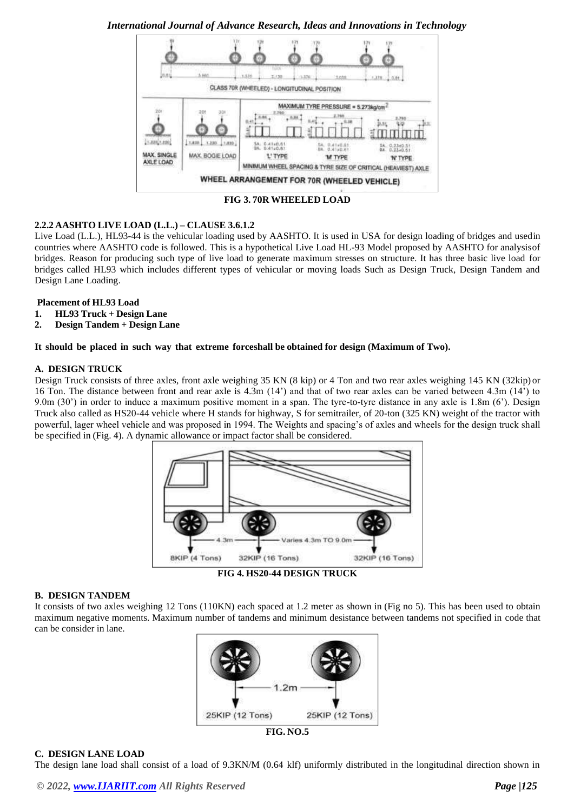*International Journal of Advance Research, Ideas and Innovations in Technology*



**FIG 3. 70R WHEELED LOAD**

# **2.2.2 AASHTO LIVE LOAD (L.L.) – CLAUSE 3.6.1.2**

Live Load (L.L.), HL93-44 is the vehicular loading used by AASHTO. It is used in USA for design loading of bridges and usedin countries where AASHTO code is followed. This is a hypothetical Live Load HL-93 Model proposed by AASHTO for analysisof bridges. Reason for producing such type of live load to generate maximum stresses on structure. It has three basic live load for bridges called HL93 which includes different types of vehicular or moving loads Such as Design Truck, Design Tandem and Design Lane Loading.

## **Placement of HL93 Load**

- **1. HL93 Truck + Design Lane**
- **2. Design Tandem + Design Lane**

# **It should be placed in such way that extreme forceshall be obtained for design (Maximum of Two).**

## **A. DESIGN TRUCK**

Design Truck consists of three axles, front axle weighing 35 KN (8 kip) or 4 Ton and two rear axles weighing 145 KN (32kip) or 16 Ton. The distance between front and rear axle is 4.3m (14') and that of two rear axles can be varied between 4.3m (14') to 9.0m (30') in order to induce a maximum positive moment in a span. The tyre-to-tyre distance in any axle is 1.8m (6'). Design Truck also called as HS20-44 vehicle where H stands for highway, S for semitrailer, of 20-ton (325 KN) weight of the tractor with powerful, lager wheel vehicle and was proposed in 1994. The Weights and spacing's of axles and wheels for the design truck shall be specified in (Fig. 4). A dynamic allowance or impact factor shall be considered.



**B. DESIGN TANDEM**

It consists of two axles weighing 12 Tons (110KN) each spaced at 1.2 meter as shown in (Fig no 5). This has been used to obtain maximum negative moments. Maximum number of tandems and minimum desistance between tandems not specified in code that can be consider in lane.



**FIG. NO.5**

# **C. DESIGN LANE LOAD**

The design lane load shall consist of a load of 9.3KN/M (0.64 klf) uniformly distributed in the longitudinal direction shown in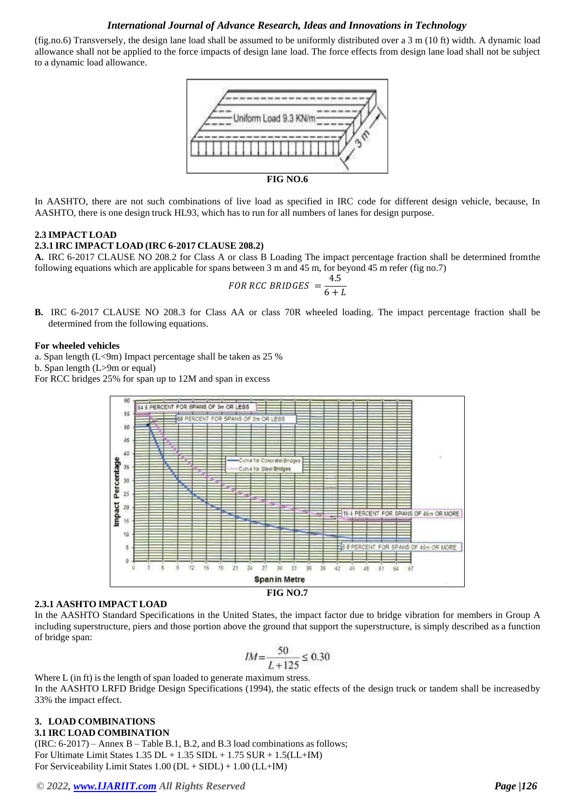(fig.no.6) Transversely, the design lane load shall be assumed to be uniformly distributed over a 3 m (10 ft) width. A dynamic load allowance shall not be applied to the force impacts of design lane load. The force effects from design lane load shall not be subject to a dynamic load allowance.



In AASHTO, there are not such combinations of live load as specified in IRC code for different design vehicle, because, In AASHTO, there is one design truck HL93, which has to run for all numbers of lanes for design purpose.

# **2.3 IMPACT LOAD**

#### **2.3.1 IRC IMPACT LOAD (IRC 6-2017 CLAUSE 208.2)**

**A.** IRC 6-2017 CLAUSE NO 208.2 for Class A or class B Loading The impact percentage fraction shall be determined fromthe following equations which are applicable for spans between 3 m and 45 m, for beyond 45 m refer (fig no.7)

FOR RCC BRIDGES = 
$$
\frac{4.5}{6 + L}
$$

**B.** IRC 6-2017 CLAUSE NO 208.3 for Class AA or class 70R wheeled loading. The impact percentage fraction shall be determined from the following equations.

### **For wheeled vehicles**

a. Span length (L<9m) Impact percentage shall be taken as 25 %

b. Span length (L>9m or equal)

For RCC bridges 25% for span up to 12M and span in excess



#### **2.3.1 AASHTO IMPACT LOAD**

In the AASHTO Standard Specifications in the United States, the impact factor due to bridge vibration for members in Group A including superstructure, piers and those portion above the ground that support the superstructure, is simply described as a function of bridge span:

$$
IM{=}\frac{50}{L+125}\leq0.30
$$

Where L (in ft) is the length of span loaded to generate maximum stress. In the AASHTO LRFD Bridge Design Specifications (1994), the static effects of the design truck or tandem shall be increasedby 33% the impact effect.

#### **3. LOAD COMBINATIONS 3.1 IRC LOAD COMBINATION**

(IRC: 6-2017) – Annex B – Table B.1, B.2, and B.3 load combinations as follows; For Ultimate Limit States  $1.35$  DL +  $1.35$  SIDL +  $1.75$  SUR +  $1.5$ (LL+IM) For Serviceability Limit States 1.00 (DL + SIDL) + 1.00 (LL+IM)

*© 2022, [www.IJARIIT.com](file:///C:/omak/Downloads/www.IJARIIT.com) All Rights Reserved Page |126*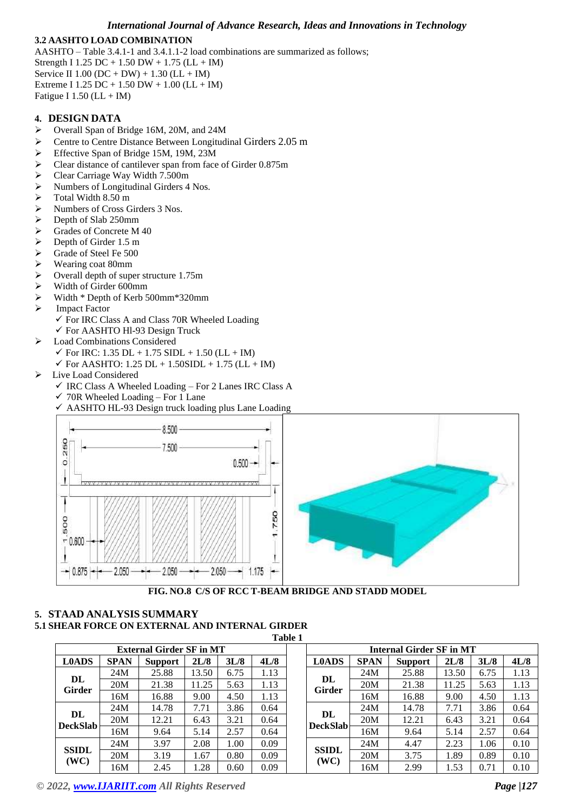# **3.2 AASHTO LOAD COMBINATION**

AASHTO – Table 3.4.1-1 and 3.4.1.1-2 load combinations are summarized as follows; Strength I 1.25 DC + 1.50 DW + 1.75 ( $LL + IM$ ) Service II 1.00 (DC + DW) + 1.30 (LL + IM) Extreme I 1.25 DC + 1.50 DW + 1.00 (LL + IM) Fatigue I  $1.50$  (LL + IM)

## **4. DESIGN DATA**

- ➢ Overall Span of Bridge 16M, 20M, and 24M
- ➢ Centre to Centre Distance Between Longitudinal Girders 2.05 m
- ➢ Effective Span of Bridge 15M, 19M, 23M
- ➢ Clear distance of cantilever span from face of Girder 0.875m
- ➢ Clear Carriage Way Width 7.500m
- ➢ Numbers of Longitudinal Girders 4 Nos.
- $\triangleright$  Total Width 8.50 m
- $\triangleright$  Numbers of Cross Girders 3 Nos.<br>  $\triangleright$  Depth of Slab 250mm
- $\geq$  Depth of Slab 250mm<br> $\geq$  Grades of Concrete M
- Grades of Concrete M 40
- $\geq$  Depth of Girder 1.5 m<br> $\geq$  Grade of Steel Fe 500
- $\geq$  Grade of Steel Fe 500<br> $\geq$  Wearing coat 80mm
- Wearing coat 80mm
- $\geq$  Overall depth of super structure 1.75m<br> $\geq$  Width of Girder 600mm
- ➢ Width of Girder 600mm
- ➢ Width \* Depth of Kerb 500mm\*320mm
- ➢ Impact Factor
	- $\checkmark$  For IRC Class A and Class 70R Wheeled Loading
	- ✓ For AASHTO Hl-93 Design Truck
- ➢ Load Combinations Considered
	- $\checkmark$  For IRC: 1.35 DL + 1.75 SIDL + 1.50 (LL + IM)
	- $\checkmark$  For AASHTO: 1.25 DL + 1.50SIDL + 1.75 (LL + IM)
- ➢ Live Load Considered
	- $\checkmark$  IRC Class A Wheeled Loading For 2 Lanes IRC Class A
	- $\checkmark$  70R Wheeled Loading For 1 Lane
	- $\checkmark$  AASHTO HL-93 Design truck loading plus Lane Loading



**FIG. NO.8 C/S OF RCC T-BEAM BRIDGE AND STADD MODEL**

#### **5. STAAD ANALYSIS SUMMARY 5.1 SHEAR FORCE ON EXTERNAL AND INTERNAL GIRDER Table 1**

|                       |             |                                 |       |      |      | таріе т |                       |             |                                 |       |      |      |
|-----------------------|-------------|---------------------------------|-------|------|------|---------|-----------------------|-------------|---------------------------------|-------|------|------|
|                       |             | <b>External Girder SF in MT</b> |       |      |      |         |                       |             | <b>Internal Girder SF in MT</b> |       |      |      |
| <b>L0ADS</b>          | <b>SPAN</b> | Support                         | 2L/8  | 3L/8 | 4L/8 |         | <b>L0ADS</b>          | <b>SPAN</b> | <b>Support</b>                  | 2L/8  | 3L/8 | 4L/8 |
|                       | 24M         | 25.88                           | 13.50 | 6.75 | 1.13 |         |                       | 24M         | 25.88                           | 13.50 | 6.75 | 1.13 |
| DL<br><b>Girder</b>   | 20M         | 21.38                           | 11.25 | 5.63 | 1.13 |         | DL<br>Girder          | 20M         | 21.38                           | 11.25 | 5.63 | 1.13 |
|                       | 16M         | 16.88                           | 9.00  | 4.50 | 1.13 |         |                       | 16M         | 16.88                           | 9.00  | 4.50 | 1.13 |
|                       | 24M         | 14.78                           | 7.71  | 3.86 | 0.64 |         |                       | 24M         | 14.78                           | 7.71  | 3.86 | 0.64 |
| DL<br><b>DeckSlab</b> | 20M         | 12.21                           | 6.43  | 3.21 | 0.64 |         | DL<br><b>DeckSlab</b> | 20M         | 12.21                           | 6.43  | 3.21 | 0.64 |
|                       | 16M         | 9.64                            | 5.14  | 2.57 | 0.64 |         |                       | 16M         | 9.64                            | 5.14  | 2.57 | 0.64 |
|                       | 24M         | 3.97                            | 2.08  | 1.00 | 0.09 |         |                       | 24M         | 4.47                            | 2.23  | 1.06 | 0.10 |
| <b>SSIDL</b>          | 20M         | 3.19                            | 1.67  | 0.80 | 0.09 |         | <b>SSIDL</b>          | 20M         | 3.75                            | 1.89  | 0.89 | 0.10 |
| (WC)                  | 16M         | 2.45                            | .28   | 0.60 | 0.09 |         | (WC)                  | 16M         | 2.99                            | 1.53  | 0.71 | 0.10 |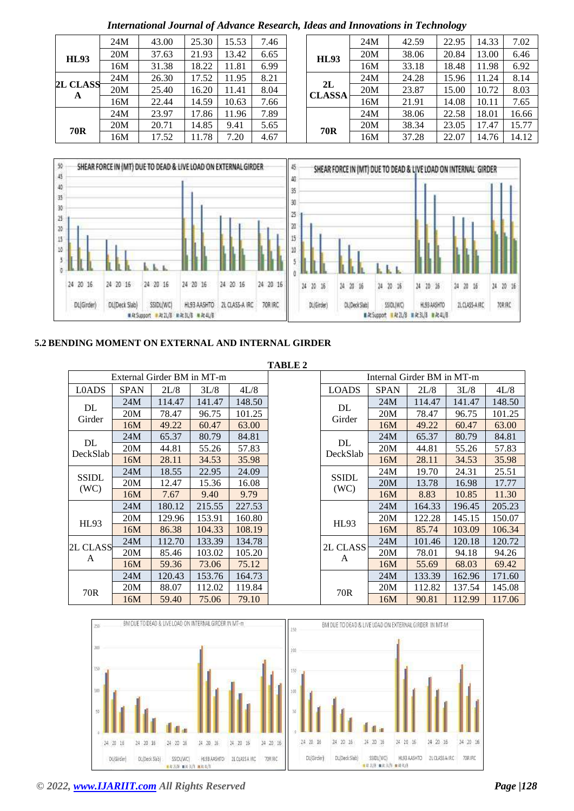|                 | 24M | 43.00 | 25.30 | 15.53 | 7.46 |                   |
|-----------------|-----|-------|-------|-------|------|-------------------|
| <b>HL93</b>     | 20M | 37.63 | 21.93 | 13.42 | 6.65 | <b>HL9</b>        |
|                 | 16M | 31.38 | 18.22 | 11.81 | 6.99 |                   |
|                 | 24M | 26.30 | 17.52 | 11.95 | 8.21 |                   |
| <b>2L CLASS</b> | 20M | 25.40 | 16.20 | 11.41 | 8.04 | 2L<br><b>CLAS</b> |
| A               | 16M | 22.44 | 14.59 | 10.63 | 7.66 |                   |
|                 | 24M | 23.97 | 17.86 | 11.96 | 7.89 |                   |
| 70R             | 20M | 20.71 | 14.85 | 9.41  | 5.65 | <b>70F</b>        |
|                 | 16M | 17.52 | 11.78 | 7.20  | 4.67 |                   |

|  |  |  | International Journal of Advance Research, Ideas and Innovations in Technology |
|--|--|--|--------------------------------------------------------------------------------|
|  |  |  |                                                                                |

| 24M | 43.00 | 25.30 | 15.53 | 7.46 |                     | 24M | 42.59 | 22.95 | 14.33 | 7.02  |
|-----|-------|-------|-------|------|---------------------|-----|-------|-------|-------|-------|
| 20M | 37.63 | 21.93 | 13.42 | 6.65 | <b>HL93</b>         | 20M | 38.06 | 20.84 | 13.00 | 6.46  |
| 16M | 31.38 | 18.22 | 11.81 | 6.99 |                     | 16M | 33.18 | 18.48 | 11.98 | 6.92  |
| 24M | 26.30 | 17.52 | 11.95 | 8.21 |                     | 24M | 24.28 | 15.96 | 1.24  | 8.14  |
| 20M | 25.40 | 16.20 | 11.41 | 8.04 | 2L<br><b>CLASSA</b> | 20M | 23.87 | 15.00 | 10.72 | 8.03  |
| 16M | 22.44 | 14.59 | 10.63 | 7.66 |                     | 16M | 21.91 | 14.08 | 10.11 | 7.65  |
| 24M | 23.97 | 17.86 | 11.96 | 7.89 |                     | 24M | 38.06 | 22.58 | 18.01 | 16.66 |
| 20M | 20.71 | 14.85 | 9.41  | 5.65 | 70 <sub>R</sub>     | 20M | 38.34 | 23.05 | 17.47 | 15.77 |
| 16M | 17.52 | 11.78 | 7.20  | 4.67 |                     | 16M | 37.28 | 22.07 | 14.76 | 14.12 |
|     |       |       |       |      |                     |     |       |       |       |       |



# **5.2 BENDING MOMENT ON EXTERNAL AND INTERNAL GIRDER**

|               |             |                            |        |        | <b>TABLE 2</b> |               |             |                            |        |        |
|---------------|-------------|----------------------------|--------|--------|----------------|---------------|-------------|----------------------------|--------|--------|
|               |             | External Girder BM in MT-m |        |        |                |               |             | Internal Girder BM in MT-m |        |        |
| L0ADS         | <b>SPAN</b> | 2L/8                       | 3L/8   | 4L/8   |                | <b>LOADS</b>  | <b>SPAN</b> | 2L/8                       | 3L/8   | 4L/8   |
|               | 24M         | 114.47                     | 141.47 | 148.50 |                |               | 24M         | 114.47                     | 141.47 | 148.50 |
| DL<br>Girder  | 20M         | 78.47                      | 96.75  | 101.25 |                | DL<br>Girder  | 20M         | 78.47                      | 96.75  | 101.25 |
|               | 16M         | 49.22                      | 60.47  | 63.00  |                |               | 16M         | 49.22                      | 60.47  | 63.00  |
| DL            | 24M         | 65.37                      | 80.79  | 84.81  |                | DL            | 24M         | 65.37                      | 80.79  | 84.81  |
| DeckSlab      | 20M         | 44.81                      | 55.26  | 57.83  |                | DeckSlab      | 20M         | 44.81                      | 55.26  | 57.83  |
|               | 16M         | 28.11                      | 34.53  | 35.98  |                |               | 16M         | 28.11                      | 34.53  | 35.98  |
| <b>SSIDL</b>  | 24M         | 18.55                      | 22.95  | 24.09  |                | <b>SSIDL</b>  | 24M         | 19.70                      | 24.31  | 25.51  |
| (WC)          | 20M         | 12.47                      | 15.36  | 16.08  |                | (WC)          | 20M         | 13.78                      | 16.98  | 17.77  |
|               | 16M         | 7.67                       | 9.40   | 9.79   |                |               | 16M         | 8.83                       | 10.85  | 11.30  |
|               | 24M         | 180.12                     | 215.55 | 227.53 |                |               | 24M         | 164.33                     | 196.45 | 205.23 |
| HL93          | 20M         | 129.96                     | 153.91 | 160.80 |                | HL93          | 20M         | 122.28                     | 145.15 | 150.07 |
|               | 16M         | 86.38                      | 104.33 | 108.19 |                |               | 16M         | 85.74                      | 103.09 | 106.34 |
|               | 24M         | 112.70                     | 133.39 | 134.78 |                |               | 24M         | 101.46                     | 120.18 | 120.72 |
| 2L CLASS<br>A | 20M         | 85.46                      | 103.02 | 105.20 |                | 2L CLASS<br>A | 20M         | 78.01                      | 94.18  | 94.26  |
|               | 16M         | 59.36                      | 73.06  | 75.12  |                |               | 16M         | 55.69                      | 68.03  | 69.42  |
|               | 24M         | 120.43                     | 153.76 | 164.73 |                |               | 24M         | 133.39                     | 162.96 | 171.60 |
| 70R           | 20M         | 88.07                      | 112.02 | 119.84 |                | 70R           | 20M         | 112.82                     | 137.54 | 145.08 |
|               | 16M         | 59.40                      | 75.06  | 79.10  |                |               | 16M         | 90.81                      | 112.99 | 117.06 |

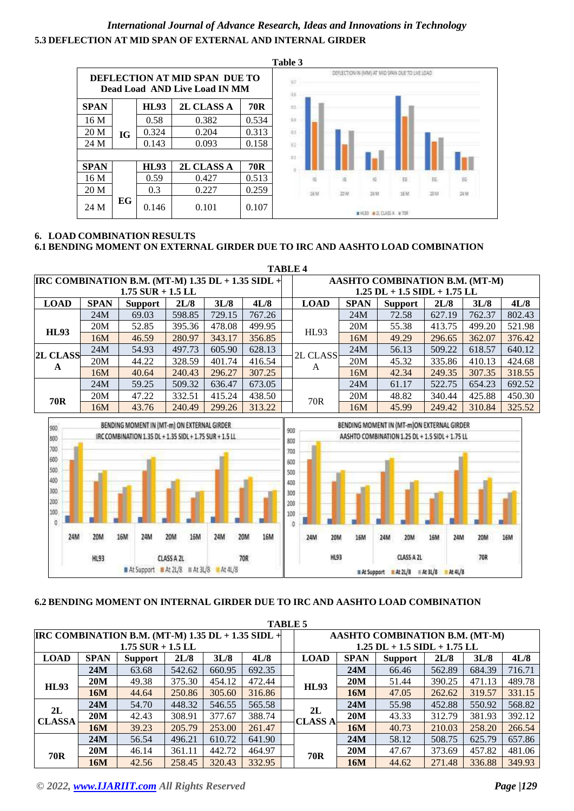# *International Journal of Advance Research, Ideas and Innovations in Technology* **5.3 DEFLECTION AT MID SPAN OF EXTERNAL AND INTERNAL GIRDER**



# **6. LOAD COMBINATION RESULTS 6.1 BENDING MOMENT ON EXTERNAL GIRDER DUE TO IRC AND AASHTO LOAD COMBINATION**

|                                                          |             |                     |        |        |        | <b>TABLE 4</b>                     |             |                |        |        |        |  |  |  |
|----------------------------------------------------------|-------------|---------------------|--------|--------|--------|------------------------------------|-------------|----------------|--------|--------|--------|--|--|--|
| <b>IRC COMBINATION B.M. (MT-M) 1.35 DL + 1.35 SIDL +</b> |             |                     |        |        |        | AASHTO COMBINATION B.M. (MT-M)     |             |                |        |        |        |  |  |  |
|                                                          |             | $1.75$ SUR + 1.5 LL |        |        |        | $1.25$ DL + $1.5$ SIDL + $1.75$ LL |             |                |        |        |        |  |  |  |
| <b>LOAD</b>                                              | <b>SPAN</b> | Support             | 2L/8   | 3L/8   | 4L/8   | <b>LOAD</b>                        | <b>SPAN</b> | <b>Support</b> | 2L/8   | 3L/8   | 4L/8   |  |  |  |
|                                                          | 24M         | 69.03               | 598.85 | 729.15 | 767.26 |                                    | 24M         | 72.58          | 627.19 | 762.37 | 802.43 |  |  |  |
| HL93                                                     | 20M         | 52.85               | 395.36 | 478.08 | 499.95 | HL93                               | 20M         | 55.38          | 413.75 | 499.20 | 521.98 |  |  |  |
|                                                          | 16M         | 46.59               | 280.97 | 343.17 | 356.85 |                                    | 16M         | 49.29          | 296.65 | 362.07 | 376.42 |  |  |  |
|                                                          | 24M         | 54.93               | 497.73 | 605.90 | 628.13 |                                    | 24M         | 56.13          | 509.22 | 618.57 | 640.12 |  |  |  |
| <b>2L CLASS</b>                                          | 20M         | 44.22               | 328.59 | 401.74 | 416.54 | 2L CLASS                           | 20M         | 45.32          | 335.86 | 410.13 | 424.68 |  |  |  |
| A                                                        | 16M         | 40.64               | 240.43 | 296.27 | 307.25 | A                                  | 16M         | 42.34          | 249.35 | 307.35 | 318.55 |  |  |  |
|                                                          | 24M         | 59.25               | 509.32 | 636.47 | 673.05 |                                    | 24M         | 61.17          | 522.75 | 654.23 | 692.52 |  |  |  |
| <b>70R</b>                                               | 20M         | 47.22               | 332.51 | 415.24 | 438.50 | 70 <sub>R</sub>                    | 20M         | 48.82          | 340.44 | 425.88 | 450.30 |  |  |  |
|                                                          | 16M         | 43.76               | 240.49 | 299.26 | 313.22 |                                    | 16M         | 45.99          | 249.42 | 310.84 | 325.52 |  |  |  |



# **6.2 BENDING MOMENT ON INTERNAL GIRDER DUE TO IRC AND AASHTO LOAD COMBINATION**

|                     |             |                                                       |        |        |        |  | <b>TABLE 5</b> |                                    |                                |        |        |        |  |  |
|---------------------|-------------|-------------------------------------------------------|--------|--------|--------|--|----------------|------------------------------------|--------------------------------|--------|--------|--------|--|--|
|                     |             | IRC COMBINATION B.M. (MT-M) $1.35$ DL + $1.35$ SIDL + |        |        |        |  |                |                                    | AASHTO COMBINATION B.M. (MT-M) |        |        |        |  |  |
| $1.75$ SUR + 1.5 LL |             |                                                       |        |        |        |  |                | $1.25$ DL + $1.5$ SIDL + $1.75$ LL |                                |        |        |        |  |  |
| <b>LOAD</b>         | <b>SPAN</b> | <b>Support</b>                                        | 2L/8   | 3L/8   | 4L/8   |  | <b>LOAD</b>    | <b>SPAN</b>                        | <b>Support</b>                 | 2L/8   | 3L/8   | 4L/8   |  |  |
|                     | 24M         | 63.68                                                 | 542.62 | 660.95 | 692.35 |  |                | 24M                                | 66.46                          | 562.89 | 684.39 | 716.71 |  |  |
| <b>HL93</b>         | 20M         | 49.38                                                 | 375.30 | 454.12 | 472.44 |  | HL93           | 20M                                | 51.44                          | 390.25 | 471.13 | 489.78 |  |  |
|                     | 16M         | 44.64                                                 | 250.86 | 305.60 | 316.86 |  |                | 16M                                | 47.05                          | 262.62 | 319.57 | 331.15 |  |  |
| 2L                  | 24M         | 54.70                                                 | 448.32 | 546.55 | 565.58 |  | 2L             | 24M                                | 55.98                          | 452.88 | 550.92 | 568.82 |  |  |
| <b>CLASSA</b>       | 20M         | 42.43                                                 | 308.91 | 377.67 | 388.74 |  | <b>CLASS A</b> | 20M                                | 43.33                          | 312.79 | 381.93 | 392.12 |  |  |
|                     | 16M         | 39.23                                                 | 205.79 | 253.00 | 261.47 |  |                | 16M                                | 40.73                          | 210.03 | 258.20 | 266.54 |  |  |
|                     | 24M         | 56.54                                                 | 496.21 | 610.72 | 641.90 |  |                | 24M                                | 58.12                          | 508.75 | 625.79 | 657.86 |  |  |
| 70R                 | <b>20M</b>  | 46.14                                                 | 361.11 | 442.72 | 464.97 |  | <b>70R</b>     | <b>20M</b>                         | 47.67                          | 373.69 | 457.82 | 481.06 |  |  |
|                     | 16M         | 42.56                                                 | 258.45 | 320.43 | 332.95 |  |                | 16M                                | 44.62                          | 271.48 | 336.88 | 349.93 |  |  |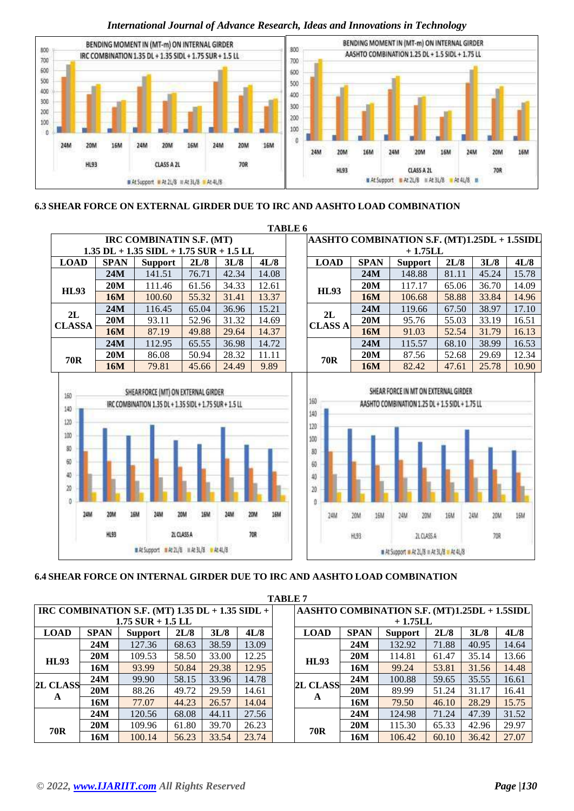

# **6.3 SHEAR FORCE ON EXTERNAL GIRDER DUE TO IRC AND AASHTO LOAD COMBINATION**



# **6.4 SHEAR FORCE ON INTERNAL GIRDER DUE TO IRC AND AASHTO LOAD COMBINATION**

|                 |             |                                                         |       |       |       | <b>TABLE 7</b> |                 |             |                                              |       |       |       |
|-----------------|-------------|---------------------------------------------------------|-------|-------|-------|----------------|-----------------|-------------|----------------------------------------------|-------|-------|-------|
|                 |             | IRC COMBINATION S.F. (MT) $1.35$ DL + $1.35$ SIDL + $ $ |       |       |       |                |                 |             | AASHTO COMBINATION S.F. (MT)1.25DL + 1.5SIDL |       |       |       |
|                 |             | $1.75$ SUR + 1.5 LL                                     |       |       |       |                |                 |             | $+1.75LL$                                    |       |       |       |
| <b>LOAD</b>     | <b>SPAN</b> | <b>Support</b>                                          | 2L/8  | 3L/8  | 4L/8  |                | <b>LOAD</b>     | <b>SPAN</b> | <b>Support</b>                               | 2L/8  | 3L/8  | 4L/8  |
|                 | 24M         | 127.36                                                  | 68.63 | 38.59 | 13.09 |                |                 | 24M         | 132.92                                       | 71.88 | 40.95 | 14.64 |
| HL93            | <b>20M</b>  | 109.53                                                  | 58.50 | 33.00 | 12.25 |                | <b>HL93</b>     | <b>20M</b>  | 114.81                                       | 61.47 | 35.14 | 13.66 |
|                 | 16M         | 93.99                                                   | 50.84 | 29.38 | 12.95 |                |                 | 16M         | 99.24                                        | 53.81 | 31.56 | 14.48 |
|                 | 24M         | 99.90                                                   | 58.15 | 33.96 | 14.78 |                | <b>2L CLASS</b> | 24M         | 100.88                                       | 59.65 | 35.55 | 16.61 |
| <b>2L CLASS</b> | <b>20M</b>  | 88.26                                                   | 49.72 | 29.59 | 14.61 |                |                 | <b>20M</b>  | 89.99                                        | 51.24 | 31.17 | 16.41 |
| A               | 16M         | 77.07                                                   | 44.23 | 26.57 | 14.04 |                | A               | 16M         | 79.50                                        | 46.10 | 28.29 | 15.75 |
|                 | 24M         | 120.56                                                  | 68.08 | 44.11 | 27.56 |                |                 | 24M         | 124.98                                       | 71.24 | 47.39 | 31.52 |
| 70R             | 20M         | 109.96                                                  | 61.80 | 39.70 | 26.23 |                | 70R             | <b>20M</b>  | 115.30                                       | 65.33 | 42.96 | 29.97 |
|                 | 16M         | 100.14                                                  | 56.23 | 33.54 | 23.74 |                |                 | 16M         | 106.42                                       | 60.10 | 36.42 | 27.07 |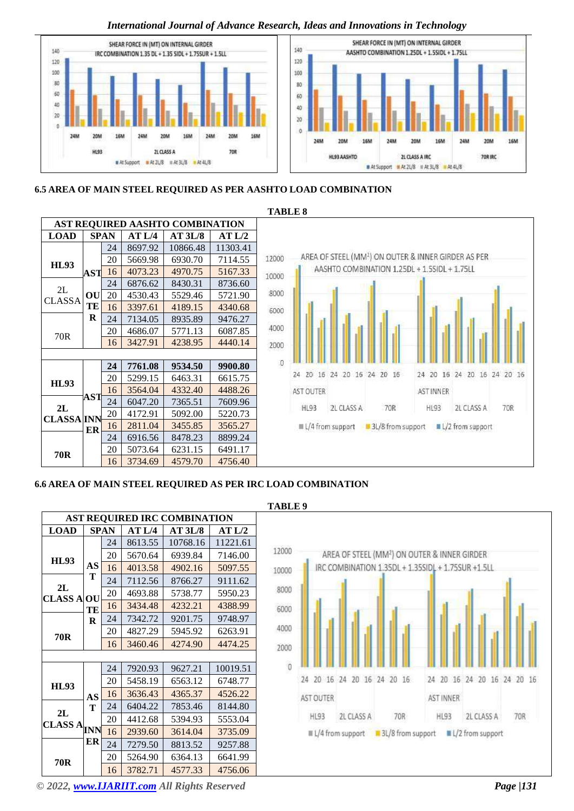

# **6.5 AREA OF MAIN STEEL REQUIRED AS PER AASHTO LOAD COMBINATION**



# **6.6 AREA OF MAIN STEEL REQUIRED AS PER IRC LOAD COMBINATION**

| <b>AST REQUIRED IRC COMBINATION</b> |    |      |         |          |          |  |  |  |  |  |
|-------------------------------------|----|------|---------|----------|----------|--|--|--|--|--|
| <b>LOAD</b>                         |    | SPAN | AT L/4  | AT 3L/8  | AT L/2   |  |  |  |  |  |
|                                     |    | 24   | 8613.55 | 10768.16 | 11221.61 |  |  |  |  |  |
| <b>HL93</b>                         |    | 20   | 5670.64 | 6939.84  | 7146.00  |  |  |  |  |  |
|                                     | AS | 16   | 4013.58 | 4902.16  | 5097.55  |  |  |  |  |  |
|                                     | т  | 24   | 7112.56 | 8766.27  | 9111.62  |  |  |  |  |  |
| 2L<br><b>CLASS A</b>                | OU | 20   | 4693.88 | 5738.77  | 5950.23  |  |  |  |  |  |
|                                     | TE | 16   | 3434.48 | 4232.21  | 4388.99  |  |  |  |  |  |
|                                     | R  | 24   | 7342.72 | 9201.75  | 9748.97  |  |  |  |  |  |
| 70 <sub>R</sub>                     |    | 20   | 4827.29 | 5945.92  | 6263.91  |  |  |  |  |  |
|                                     |    | 16   | 3460.46 | 4274.90  | 4474.25  |  |  |  |  |  |
|                                     |    |      |         |          |          |  |  |  |  |  |
|                                     |    | 24   | 7920.93 | 9627.21  | 10019.51 |  |  |  |  |  |
| <b>HL93</b>                         |    | 20   | 5458.19 | 6563.12  | 6748.77  |  |  |  |  |  |
|                                     | AS | 16   | 3636.43 | 4365.37  | 4526.22  |  |  |  |  |  |
| 2L                                  | т  | 24   | 6404.22 | 7853.46  | 8144.80  |  |  |  |  |  |
| <b>CLASS ANN</b>                    |    | 20   | 4412.68 | 5394.93  | 5553.04  |  |  |  |  |  |
|                                     |    | 16   | 2939.60 | 3614.04  | 3735.09  |  |  |  |  |  |
|                                     | ER | 24   | 7279.50 | 8813.52  | 9257.88  |  |  |  |  |  |
| 70R                                 |    | 20   | 5264.90 | 6364.13  | 6641.99  |  |  |  |  |  |
|                                     |    | 16   | 3782.71 | 4577.33  | 4756.06  |  |  |  |  |  |





*© 2022, [www.IJARIIT.com](file:///C:/omak/Downloads/www.IJARIIT.com) All Rights Reserved Page |131*